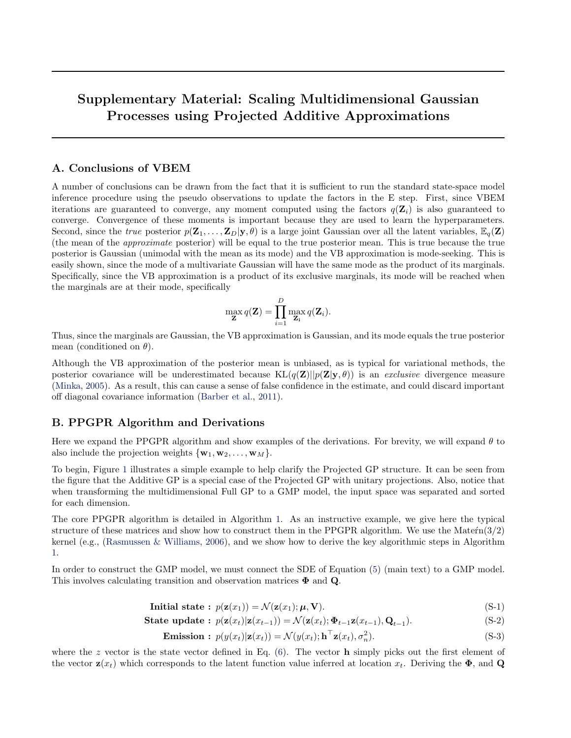# **Supplementary Material: Scaling Multidimensional Gaussian Processes using Projected Additive Approximations**

## **A. Conclusions of VBEM**

A number of conclusions can be drawn from the fact that it is sufficient to run the standard state-space model inference procedure using the pseudo observations to update the factors in the E step. First, since VBEM iterations are guaranteed to converge, any moment computed using the factors  $q(\mathbf{Z}_i)$  is also guaranteed to converge. Convergence of these moments is important because they are used to learn the hyperparameters. Second, since the *true* posterior  $p(\mathbf{Z}_1, \ldots, \mathbf{Z}_D | \mathbf{y}, \theta)$  is a large joint Gaussian over all the latent variables,  $\mathbb{E}_q(\mathbf{Z})$ (the mean of the *approximate* posterior) will be equal to the true posterior mean. This is true because the true posterior is Gaussian (unimodal with the mean as its mode) and the VB approximation is mode-seeking. This is easily shown, since the mode of a multivariate Gaussian will have the same mode as the product of its marginals. Specifically, since the VB approximation is a product of its exclusive marginals, its mode will be reached when the marginals are at their mode, specifically

$$
\max_{\mathbf{Z}} q(\mathbf{Z}) = \prod_{i=1}^{D} \max_{\mathbf{Z}_i} q(\mathbf{Z}_i).
$$

Thus, since the marginals are Gaussian, the VB approximation is Gaussian, and its mode equals the true posterior mean (conditioned on *θ*).

Although the VB approximation of the posterior mean is unbiased, as is typical for variational methods, the posterior covariance will be underestimated because  $KL(q(\mathbf{Z})||p(\mathbf{Z}|\mathbf{y},\theta))$  is an *exclusive* divergence measure (Minka, 2005). As a result, this can cause a sense of false confidence in the estimate, and could discard important off diagonal covariance information (Barber et al., 2011).

## **B. PPGPR Algorithm and Derivations**

Here we expand the PPGPR algorithm and show examples of the derivations. For brevity, we will expand *θ* to also include the projection weights  $\{ \mathbf{w}_1, \mathbf{w}_2, \ldots, \mathbf{w}_M \}$ .

To begin, Figure 1 illustrates a simple example to help clarify the Projected GP structure. It can be seen from the figure that the Additive GP is a special case of the Projected GP with unitary projections. Also, notice that when transforming the multidimensional Full GP to a GMP model, the input space was separated and sorted for each dimension.

The core PPGPR algorithm is detailed in Algorithm 1. As an instructive example, we give here the typical structure of these matrices and show how to construct them in the PPGPR algorithm. We use the Matern $(3/2)$ kernel (e.g., (Rasmussen & Williams, 2006), and we show how to derive the key algorithmic steps in Algorithm 1.

In order to construct the GMP model, we must connect the SDE of Equation (5) (main text) to a GMP model. This involves calculating transition and observation matrices **Φ** and **Q**.

$$
\text{Initial state}: \ p(\mathbf{z}(x_1)) = \mathcal{N}(\mathbf{z}(x_1); \boldsymbol{\mu}, \mathbf{V}). \tag{S-1}
$$

**State update :** 
$$
p(\mathbf{z}(x_t)|\mathbf{z}(x_{t-1})) = \mathcal{N}(\mathbf{z}(x_t); \mathbf{\Phi}_{t-1}\mathbf{z}(x_{t-1}), \mathbf{Q}_{t-1}).
$$
 (S-2)

$$
\text{Emission}: p(y(x_t)|\mathbf{z}(x_t)) = \mathcal{N}(y(x_t); \mathbf{h}^\top \mathbf{z}(x_t), \sigma_n^2). \tag{S-3}
$$

where the *z* vector is the state vector defined in Eq. (6). The vector **h** simply picks out the first element of the vector  $\mathbf{z}(x_t)$  which corresponds to the latent function value inferred at location  $x_t$ . Deriving the  $\Phi$ , and **Q**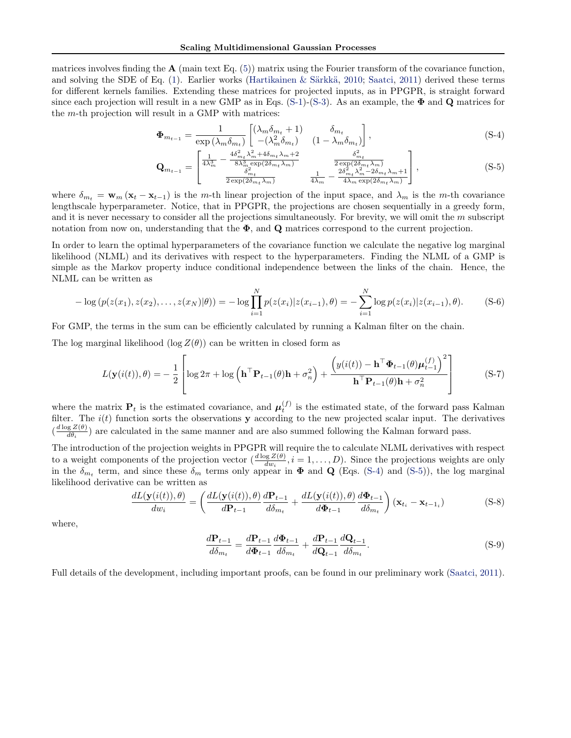matrices involves finding the  $A$  (main text Eq.  $(5)$ ) matrix using the Fourier transform of the covariance function, and solving the SDE of Eq. (1). Earlier works (Hartikainen & Särkkä, 2010; Saatci, 2011) derived these terms for different kernels families. Extending these matrices for projected inputs, as in PPGPR, is straight forward since each projection will result in a new GMP as in Eqs. (S-1)-(S-3). As an example, the **Φ** and **Q** matrices for the *m*-th projection will result in a GMP with matrices:

$$
\Phi_{m_{t-1}} = \frac{1}{\exp(\lambda_m \delta_{m_t})} \begin{bmatrix} (\lambda_m \delta_{m_t} + 1) & \delta_{m_t} \\ -(\lambda_m^2 \delta_{m_t}) & (1 - \lambda_m \delta_{m_t}) \end{bmatrix},
$$
\n(S-4)

$$
\mathbf{Q}_{m_{t-1}} = \begin{bmatrix} \frac{1}{4\lambda_m^3} - \frac{4\delta_{m_t}^2 \lambda_m^2 + 4\delta_{m_t} \lambda_m + 2}{8\lambda_m^3 \exp(2\delta_{m_t} \lambda_m)} & \frac{\delta_{m_t}^2}{2\exp(2\delta_{m_t} \lambda_m)}\\ \frac{\delta_{m_t}^2}{2\exp(2\delta_{m_t} \lambda_m)} & \frac{1}{4\lambda_m} - \frac{2\delta_{m_t}^2 \lambda_m^2 - 2\delta_{m_t} \lambda_m + 1}{4\lambda_m \exp(2\delta_{m_t} \lambda_m)} \end{bmatrix},
$$
(S-5)

where  $\delta_{m_t} = \mathbf{w}_m (\mathbf{x}_t - \mathbf{x}_{t-1})$  is the *m*-th linear projection of the input space, and  $\lambda_m$  is the *m*-th covariance lengthscale hyperparameter. Notice, that in PPGPR, the projections are chosen sequentially in a greedy form, and it is never necessary to consider all the projections simultaneously. For brevity, we will omit the *m* subscript notation from now on, understanding that the  $\Phi$ , and **Q** matrices correspond to the current projection.

In order to learn the optimal hyperparameters of the covariance function we calculate the negative log marginal likelihood (NLML) and its derivatives with respect to the hyperparameters. Finding the NLML of a GMP is simple as the Markov property induce conditional independence between the links of the chain. Hence, the NLML can be written as

$$
-\log(p(z(x_1), z(x_2), \dots, z(x_N)|\theta)) = -\log \prod_{i=1}^N p(z(x_i)|z(x_{i-1}), \theta) = -\sum_{i=1}^N \log p(z(x_i)|z(x_{i-1}), \theta).
$$
 (S-6)

For GMP, the terms in the sum can be efficiently calculated by running a Kalman filter on the chain.

The log marginal likelihood (log  $Z(\theta)$ ) can be written in closed form as

$$
L(\mathbf{y}(i(t)), \theta) = -\frac{1}{2} \left[ \log 2\pi + \log \left( \mathbf{h}^{\top} \mathbf{P}_{t-1}(\theta) \mathbf{h} + \sigma_n^2 \right) + \frac{\left( y(i(t)) - \mathbf{h}^{\top} \boldsymbol{\Phi}_{t-1}(\theta) \boldsymbol{\mu}_{t-1}^{(f)} \right)^2}{\mathbf{h}^{\top} \mathbf{P}_{t-1}(\theta) \mathbf{h} + \sigma_n^2} \right]
$$
(S-7)

where the matrix  $P_t$  is the estimated covariance, and  $\mu_t^{(f)}$  is the estimated state, of the forward pass Kalman filter. The  $i(t)$  function sorts the observations **y** according to the new projected scalar input. The derivatives  $\left(\frac{d \log Z(\theta)}{d \theta}\right)$  $\frac{gZ(\theta)}{d\theta_i}$  are calculated in the same manner and are also summed following the Kalman forward pass.

The introduction of the projection weights in PPGPR will require the to calculate NLML derivatives with respect to a weight components of the projection vector  $\left(\frac{d \log Z(\theta)}{dw_i}, i = 1, \ldots, D\right)$ . Since the projections weights are only in the  $\delta_{m_t}$  term, and since these  $\delta_m$  terms only appear in  $\Phi$  and  $\mathbf{Q}$  (Eqs. (S-4) and (S-5)), the log marginal likelihood derivative can be written as

$$
\frac{dL(\mathbf{y}(i(t)),\theta)}{dw_i} = \left(\frac{dL(\mathbf{y}(i(t)),\theta)}{d\mathbf{P}_{t-1}}\frac{d\mathbf{P}_{t-1}}{d\delta_{m_t}} + \frac{dL(\mathbf{y}(i(t)),\theta)}{d\mathbf{\Phi}_{t-1}}\frac{d\mathbf{\Phi}_{t-1}}{d\delta_{m_t}}\right)(\mathbf{x}_{t_i} - \mathbf{x}_{t-1_i})
$$
(S-8)

where,

$$
\frac{d\mathbf{P}_{t-1}}{d\delta_{m_t}} = \frac{d\mathbf{P}_{t-1}}{d\Phi_{t-1}} \frac{d\Phi_{t-1}}{d\delta_{m_t}} + \frac{d\mathbf{P}_{t-1}}{d\mathbf{Q}_{t-1}} \frac{d\mathbf{Q}_{t-1}}{d\delta_{m_t}}.
$$
(S-9)

Full details of the development, including important proofs, can be found in our preliminary work (Saatci, 2011).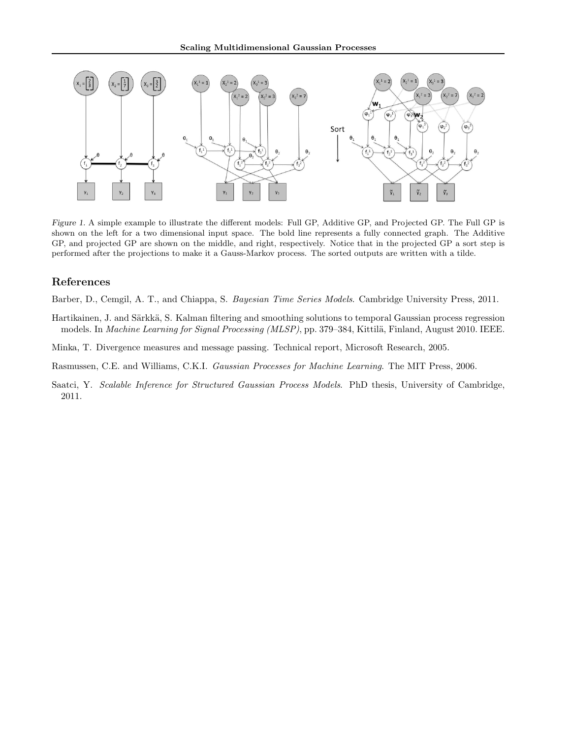

*Figure 1.* A simple example to illustrate the different models: Full GP, Additive GP, and Projected GP. The Full GP is shown on the left for a two dimensional input space. The bold line represents a fully connected graph. The Additive GP, and projected GP are shown on the middle, and right, respectively. Notice that in the projected GP a sort step is performed after the projections to make it a Gauss-Markov process. The sorted outputs are written with a tilde.

## **References**

Barber, D., Cemgil, A. T., and Chiappa, S. *Bayesian Time Series Models*. Cambridge University Press, 2011.

- Hartikainen, J. and Särkkä, S. Kalman filtering and smoothing solutions to temporal Gaussian process regression models. In *Machine Learning for Signal Processing (MLSP)*, pp. 379–384, Kittilä, Finland, August 2010. IEEE.
- Minka, T. Divergence measures and message passing. Technical report, Microsoft Research, 2005.
- Rasmussen, C.E. and Williams, C.K.I. *Gaussian Processes for Machine Learning*. The MIT Press, 2006.
- Saatci, Y. *Scalable Inference for Structured Gaussian Process Models*. PhD thesis, University of Cambridge, 2011.